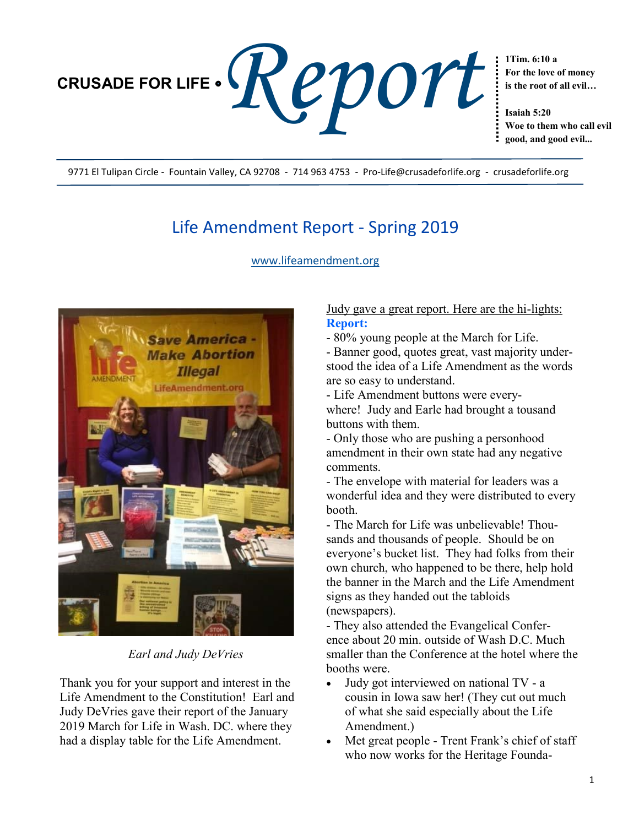

**For the love of money is the root of all evil…**

**Isaiah 5:20 Woe to them who call evil good, and good evil...**

9771 El Tulipan Circle - Fountain Valley, CA 92708 - 714 963 4753 - Pro-Life@crusadeforlife.org - crusadeforlife.org

# Life Amendment Report - Spring 2019

[www.lifeamendment.org](http://www.lifeamendment.org/)



*Earl and Judy DeVries*

Thank you for your support and interest in the Life Amendment to the Constitution! Earl and Judy DeVries gave their report of the January 2019 March for Life in Wash. DC. where they had a display table for the Life Amendment.

## Judy gave a great report. Here are the hi-lights: **Report:**

- 80% young people at the March for Life.

- Banner good, quotes great, vast majority understood the idea of a Life Amendment as the words are so easy to understand.

- Life Amendment buttons were everywhere! Judy and Earle had brought a tousand

buttons with them. - Only those who are pushing a personhood amendment in their own state had any negative comments.

- The envelope with material for leaders was a wonderful idea and they were distributed to every booth.

- The March for Life was unbelievable! Thousands and thousands of people. Should be on everyone's bucket list. They had folks from their own church, who happened to be there, help hold the banner in the March and the Life Amendment signs as they handed out the tabloids (newspapers).

- They also attended the Evangelical Conference about 20 min. outside of Wash D.C. Much smaller than the Conference at the hotel where the booths were.

- Judy got interviewed on national TV a cousin in Iowa saw her! (They cut out much of what she said especially about the Life Amendment.)
- Met great people Trent Frank's chief of staff who now works for the Heritage Founda-